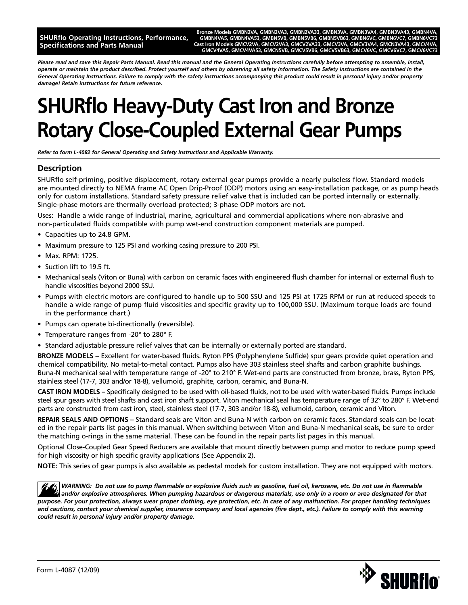**SHURflo Operating Instructions, Performance, Specifications and Parts Manual**

Bronze Models GMBN2VA, GMBN2VA3, GMBN2VA33, GMBN3VA, GMBN3VA4, GMBN3VA43, GMBN4V **GMBN4VA5, GMBN4VA53, GMBN5VB, GMBN5VB6, GMBN5VB63, GMBN6VC, GMBN6VC7, GMBN6VC73 Cast Iron Models GMCV2VA, GMCV2VA3, GMCV2VA33, GMCV3VA, GMCV3VA4, GMCN3VA43, GMCV4VA, GMCV4VA5, GMCV4VA53, GMCN5VB, GMCV5VB6, GMCV5VB63, GMCV6VC, GMCV6VC7, GMCV6VC73**

*Please read and save this Repair Parts Manual. Read this manual and the General Operating Instructions carefully before attempting to assemble, install, operate or maintain the product described. Protect yourself and others by observing all safety information. The Safety Instructions are contained in the General Operating Instructions. Failure to comply with the safety instructions accompanying this product could result in personal injury and/or property damage! Retain instructions for future reference.*

# **SHURflo Heavy-Duty Cast Iron and Bronze Rotary Close-Coupled External Gear Pumps**

*Refer to form L-4082 for General Operating and Safety Instructions and Applicable Warranty.*

### **Description**

SHURflo self-priming, positive displacement, rotary external gear pumps provide a nearly pulseless flow. Standard models are mounted directly to NEMA frame AC Open Drip-Proof (ODP) motors using an easy-installation package, or as pump heads only for custom installations. Standard safety pressure relief valve that is included can be ported internally or externally. Single-phase motors are thermally overload protected; 3-phase ODP motors are not.

Uses: Handle a wide range of industrial, marine, agricultural and commercial applications where non-abrasive and non-particulated fluids compatible with pump wet-end construction component materials are pumped.

- Capacities up to 24.8 GPM.
- Maximum pressure to 125 PSI and working casing pressure to 200 PSI.
- Max. RPM: 1725.
- Suction lift to 19.5 ft.
- Mechanical seals (Viton or Buna) with carbon on ceramic faces with engineered flush chamber for internal or external flush to handle viscosities beyond 2000 SSU.
- Pumps with electric motors are configured to handle up to 500 SSU and 125 PSI at 1725 RPM or run at reduced speeds to handle a wide range of pump fluid viscosities and specific gravity up to 100,000 SSU. (Maximum torque loads are found in the performance chart.)
- Pumps can operate bi-directionally (reversible).
- Temperature ranges from -20° to 280° F.
- Standard adjustable pressure relief valves that can be internally or externally ported are standard.

**BRONZE MODELS –** Excellent for water-based fluids. Ryton PPS (Polyphenylene Sulfide) spur gears provide quiet operation and chemical compatibility. No metal-to-metal contact. Pumps also have 303 stainless steel shafts and carbon graphite bushings. Buna-N mechanical seal with temperature range of -20° to 210° F. Wet-end parts are constructed from bronze, brass, Ryton PPS, stainless steel (17-7, 303 and/or 18-8), vellumoid, graphite, carbon, ceramic, and Buna-N.

**CAST IRON MODELS –** Specifically designed to be used with oil-based fluids, not to be used with water-based fluids. Pumps include steel spur gears with steel shafts and cast iron shaft support. Viton mechanical seal has temperature range of 32° to 280° F. Wet-end parts are constructed from cast iron, steel, stainless steel (17-7, 303 and/or 18-8), vellumoid, carbon, ceramic and Viton.

**REPAIR SEALS AND OPTIONS –** Standard seals are Viton and Buna-N with carbon on ceramic faces. Standard seals can be located in the repair parts list pages in this manual. When switching between Viton and Buna-N mechanical seals, be sure to order the matching o-rings in the same material. These can be found in the repair parts list pages in this manual.

Optional Close-Coupled Gear Speed Reducers are available that mount directly between pump and motor to reduce pump speed for high viscosity or high specific gravity applications (See Appendix 2).

**NOTE:** This series of gear pumps is also available as pedestal models for custom installation. They are not equipped with motors.

*WARNING: Do not use to pump flammable or explosive fluids such as gasoline, fuel oil, kerosene, etc. Do not use in flammable and/or explosive atmospheres. When pumping hazardous or dangerous materials, use only in a room or area designated for that purpose. For your protection, always wear proper clothing, eye protection, etc. in case of any malfunction. For proper handling techniques and cautions, contact your chemical supplier, insurance company and local agencies (fire dept., etc.). Failure to comply with this warning could result in personal injury and/or property damage.*

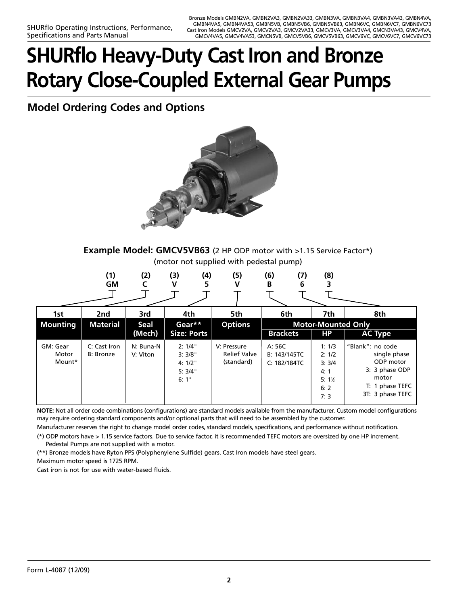# **SHURflo Heavy-Duty Cast Iron and Bronze Rotary Close-Coupled External Gear Pumps**

**Model Ordering Codes and Options**



**Example Model: GMCV5VB63** (2 HP ODP motor with >1.15 Service Factor\*) (motor not supplied with pedestal pump)

| (1)       | (2) | (3) | (4)          | (5) | (6) | (7) | (8) |  |
|-----------|-----|-----|--------------|-----|-----|-----|-----|--|
| <b>GM</b> |     |     | $\mathbf{z}$ |     |     |     |     |  |
|           |     |     |              |     |     |     |     |  |

| 1st                         | 2nd                               | 3rd                   | 4th                                          | 5th                                              | 6th                                    | 7th                                                     | 8th                                                                                                             |
|-----------------------------|-----------------------------------|-----------------------|----------------------------------------------|--------------------------------------------------|----------------------------------------|---------------------------------------------------------|-----------------------------------------------------------------------------------------------------------------|
| <b>Mounting</b>             | <b>Material</b>                   | Seal<br>(Mech)        | Gear**<br><b>Size: Ports</b>                 | <b>Options</b>                                   | <b>Brackets</b>                        | <b>Motor-Mounted Only</b><br><b>HP</b>                  | <b>AC Type</b>                                                                                                  |
| GM: Gear<br>Motor<br>Mount* | C: Cast Iron<br><b>B</b> : Bronze | N: Buna-N<br>V: Viton | 2:1/4"<br>3:3/8"<br>4:1/2"<br>5:3/4"<br>6:1" | V: Pressure<br><b>Relief Valve</b><br>(standard) | A: 56C<br>B: 143/145TC<br>C: 182/184TC | 1:1/3<br>2:1/2<br>3:3/4<br>4:1<br>$5:1\%$<br>6:2<br>7:3 | "Blank": no code<br>single phase<br>ODP motor<br>3: 3 phase ODP<br>motor<br>T: 1 phase TEFC<br>3T: 3 phase TEFC |

**NOTE:** Not all order code combinations (configurations) are standard models available from the manufacturer. Custom model configurations may require ordering standard components and/or optional parts that will need to be assembled by the customer.

Manufacturer reserves the right to change model order codes, standard models, specifications, and performance without notification.

(\*) ODP motors have > 1.15 service factors. Due to service factor, it is recommended TEFC motors are oversized by one HP increment. Pedestal Pumps are not supplied with a motor.

(\*\*) Bronze models have Ryton PPS (Polyphenylene Sulfide) gears. Cast Iron models have steel gears.

Maximum motor speed is 1725 RPM.

Cast iron is not for use with water-based fluids.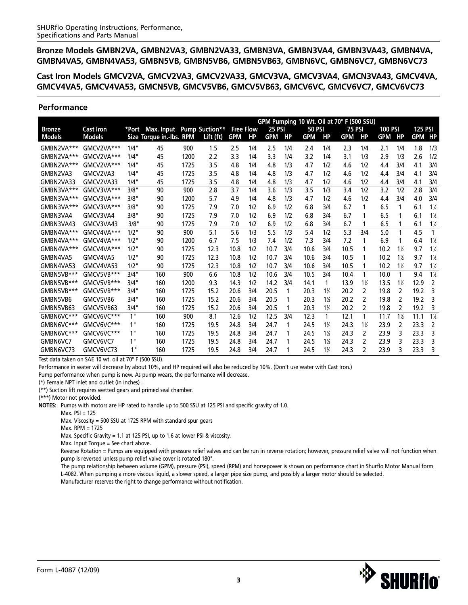**Cast Iron Models GMCV2VA, GMCV2VA3, GMCV2VA33, GMCV3VA, GMCV3VA4, GMCN3VA43, GMCV4VA, GMCV4VA5, GMCV4VA53, GMCN5VB, GMCV5VB6, GMCV5VB63, GMCV6VC, GMCV6VC7, GMCV6VC73**

### **Performance**

|               |                  |         |                           |      |           |                  |           |               |     | GPM Pumping 10 Wt. Oil at 70° F (500 SSU) |                |        |                |                |               |                |                |
|---------------|------------------|---------|---------------------------|------|-----------|------------------|-----------|---------------|-----|-------------------------------------------|----------------|--------|----------------|----------------|---------------|----------------|----------------|
| <b>Bronze</b> | <b>Cast Iron</b> | *Port   | Max. Input Pump Suction** |      |           | <b>Free Flow</b> |           | <b>25 PSI</b> |     | <b>50 PSI</b>                             |                | 75 PSI |                | <b>100 PSI</b> |               | <b>125 PSI</b> |                |
| <b>Models</b> | <b>Models</b>    |         | Size Torque in.-Ibs. RPM  |      | Lift (ft) | <b>GPM</b>       | <b>HP</b> | <b>GPM</b>    | HP  | <b>GPM</b>                                | <b>HP</b>      | GPM    | <b>HP</b>      | GPM            | <b>HP</b>     | <b>GPM</b>     | HP             |
| GMBN2VA***    | GMCV2VA***       | 1/4"    | 45                        | 900  | 1.5       | 2.5              | 1/4       | 2.5           | 1/4 | 2.4                                       | 1/4            | 2.3    | 1/4            | 2.1            | 1/4           | 1.8            | 1/3            |
| GMBN2VA***    | GMCV2VA***       | 1/4"    | 45                        | 1200 | 2.2       | 3.3              | 1/4       | 3.3           | 1/4 | 3.2                                       | 1/4            | 3.1    | 1/3            | 2.9            | 1/3           | 2.6            | 1/2            |
| GMBN2VA***    | GMCV2VA***       | 1/4"    | 45                        | 1725 | 3.5       | 4.8              | 1/4       | 4.8           | 1/3 | 4.7                                       | 1/2            | 4.6    | 1/2            | 4.4            | 3/4           | 4.1            | 3/4            |
| GMBN2VA3      | GMCV2VA3         | 1/4"    | 45                        | 1725 | 3.5       | 4.8              | 1/4       | 4.8           | 1/3 | 4.7                                       | 1/2            | 4.6    | 1/2            | 4.4            | 3/4           | 4.1            | 3/4            |
| GMBN2VA33     | GMCV2VA33        | 1/4"    | 45                        | 1725 | 3.5       | 4.8              | 1/4       | 4.8           | 1/3 | 4.7                                       | 1/2            | 4.6    | 1/2            | 4.4            | 3/4           | 4.1            | 3/4            |
| GMBN3VA***    | GMCV3VA***       | 3/8"    | 90                        | 900  | 2.8       | 3.7              | 1/4       | 3.6           | 1/3 | 3.5                                       | 1/3            | 3.4    | 1/2            | 3.2            | 1/2           | 2.8            | 3/4            |
| GMBN3VA***    | GMCV3VA***       | 3/8"    | 90                        | 1200 | 5.7       | 4.9              | 1/4       | 4.8           | 1/3 | 4.7                                       | 1/2            | 4.6    | 1/2            | 4.4            | 3/4           | 4.0            | 3/4            |
| GMBN3VA***    | GMCV3VA***       | 3/8"    | 90                        | 1725 | 7.9       | 7.0              | 1/2       | 6.9           | 1/2 | 6.8                                       | 3/4            | 6.7    | 1              | 6.5            | 1             | 6.1            | $1\frac{1}{2}$ |
| GMBN3VA4      | GMCV3VA4         | 3/8"    | 90                        | 1725 | 7.9       | 7.0              | 1/2       | 6.9           | 1/2 | 6.8                                       | 3/4            | 6.7    |                | 6.5            |               | 6.1            | $1\frac{1}{2}$ |
| GMBN3VA43     | GMCV3VA43        | 3/8"    | 90                        | 1725 | 7.9       | 7.0              | 1/2       | 6.9           | 1/2 | 6.8                                       | 3/4            | 6.7    | 1              | 6.5            |               | 6.1            | $1\frac{1}{2}$ |
| GMBN4VA***    | GMCV4VA***       | $1/2$ " | 90                        | 900  | 5.1       | 5.6              | 1/3       | 5.5           | 1/3 | 5.4                                       | 1/2            | 5.3    | 3/4            | 5.0            |               | 4.5            | 1              |
| GMBN4VA***    | GMCV4VA***       | $1/2$ " | 90                        | 1200 | 6.7       | 7.5              | 1/3       | 7.4           | 1/2 | 7.3                                       | 3/4            | 7.2    | 1              | 6.9            |               | 6.4            | $1\frac{1}{2}$ |
| GMBN4VA***    | GMCV4VA***       | $1/2$ " | 90                        | 1725 | 12.3      | 10.8             | 1/2       | 10.7          | 3/4 | 10.6                                      | 3/4            | 10.5   |                | 10.2           | $1\%$         | 9.7            | $1\frac{1}{2}$ |
| GMBN4VA5      | GMCV4VA5         | $1/2$ " | 90                        | 1725 | 12.3      | 10.8             | 1/2       | 10.7          | 3/4 | 10.6                                      | 3/4            | 10.5   |                | 10.2           | $1\%$         | 9.7            | $1\frac{1}{2}$ |
| GMBN4VA53     | GMCV4VA53        | $1/2$ " | 90                        | 1725 | 12.3      | 10.8             | 1/2       | 10.7          | 3/4 | 10.6                                      | 3/4            | 10.5   | 1              | 10.2           | $1\%$         | 9.7            | $1\frac{1}{2}$ |
| GMBN5VB***    | GMCV5VB***       | 3/4"    | 160                       | 900  | 6.6       | 10.8             | 1/2       | 10.6          | 3/4 | 10.5                                      | 3/4            | 10.4   | 1              | 10.0           | 1             | 9.4            | $1\frac{1}{2}$ |
| GMBN5VB***    | GMCV5VB***       | 3/4"    | 160                       | 1200 | 9.3       | 14.3             | 1/2       | 14.2          | 3/4 | 14.1                                      | 1              | 13.9   | $1\%$          | 13.5           | $1\%$         | 12.9           | 2              |
| GMBN5VB***    | GMCV5VB***       | 3/4"    | 160                       | 1725 | 15.2      | 20.6             | 3/4       | 20.5          | 1   | 20.3                                      | $1\%$          | 20.2   | $\mathcal{P}$  | 19.8           | $\mathcal{P}$ | 19.2           | 3              |
| GMBN5VB6      | GMCV5VB6         | 3/4"    | 160                       | 1725 | 15.2      | 20.6             | 3/4       | 20.5          |     | 20.3                                      | $1\frac{1}{2}$ | 20.2   | $\mathcal{P}$  | 19.8           | 2             | 19.2           | ξ              |
| GMBN5VB63     | GMCV5VB63        | 3/4"    | 160                       | 1725 | 15.2      | 20.6             | 3/4       | 20.5          |     | 20.3                                      | $1\frac{1}{2}$ | 20.2   | 2              | 19.8           | 2             | 19.2           | 3              |
| GMBN6VC***    | GMCV6VC***       | 1"      | 160                       | 900  | 8.1       | 12.6             | 1/2       | 12.5          | 3/4 | 12.3                                      | 1              | 12.1   | 1              | 11.7           | $1\%$         | 11.1           | $1\%$          |
| GMBN6VC***    | GMCV6VC***       | 1"      | 160                       | 1725 | 19.5      | 24.8             | 3/4       | 24.7          | 1   | 24.5                                      | $1\%$          | 24.3   | $1\%$          | 23.9           | 2             | 23.3           | $\mathcal{P}$  |
| GMBN6VC***    | GMCV6VC***       | 1"      | 160                       | 1725 | 19.5      | 24.8             | 3/4       | 24.7          |     | 24.5                                      | $1\frac{1}{2}$ | 24.3   | $\overline{2}$ | 23.9           | 3             | 23.3           | 3              |
| GMBN6VC7      | GMCV6VC7         | 1"      | 160                       | 1725 | 19.5      | 24.8             | 3/4       | 24.7          |     | 24.5                                      | $1\frac{1}{2}$ | 24.3   | $\mathcal{L}$  | 23.9           | २             | 23.3           | 3              |
| GMBN6VC73     | GMCV6VC73        | 1"      | 160                       | 1725 | 19.5      | 24.8             | 3/4       | 24.7          | 1   | 24.5                                      | $1\frac{1}{2}$ | 24.3   | $\mathcal{P}$  | 23.9           | 3             | 23.3           | 3              |

Test data taken on SAE 10 wt. oil at 70° F (500 SSU).

Performance in water will decrease by about 10%, and HP required will also be reduced by 10%. (Don't use water with Cast Iron.)

Pump performance when pump is new. As pump wears, the performance will decrease.

(\*) Female NPT inlet and outlet (in inches) . (\*\*) Suction lift requires wetted gears and primed seal chamber.

(\*\*\*) Motor not provided.

**NOTES:** Pumps with motors are HP rated to handle up to 500 SSU at 125 PSI and specific gravity of 1.0.

Max. PSI = 125

Max. Viscosity = 500 SSU at 1725 RPM with standard spur gears

Max. RPM = 1725

Max. Specific Gravity = 1.1 at 125 PSI, up to 1.6 at lower PSI & viscosity.

Max. Input Torque = See chart above.

Reverse Rotation = Pumps are equipped with pressure relief valves and can be run in reverse rotation; however, pressure relief valve will not function when pump is reversed unless pump relief valve cover is rotated 180°.

The pump relationship between volume (GPM), pressure (PSI), speed (RPM) and horsepower is shown on performance chart in Shurflo Motor Manual form L-4082. When pumping a more viscous liquid, a slower speed, a larger pipe size pump, and possibly a larger motor should be selected.

Manufacturer reserves the right to change performance without notification.

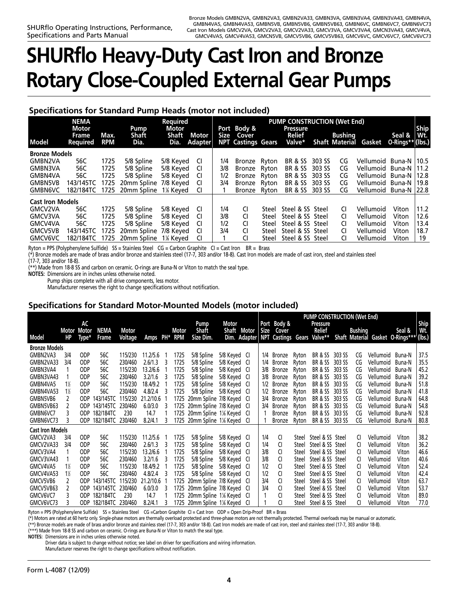# **SHURflo Heavy-Duty Cast Iron and Bronze Rotary Close-Coupled External Gear Pumps**

### **Specifications for Standard Pump Heads (motor not included)**

| <b>Required</b><br><b>NEMA</b><br>Motor<br>Motor<br>Pump |                          |                    |               |           | <b>PUMP CONSTRUCTION (Wet End)</b><br>Port Body &<br><b>Pressure</b> |     |                                         |       |                    |        |         | <b>Ship</b>                  |                            |      |
|----------------------------------------------------------|--------------------------|--------------------|---------------|-----------|----------------------------------------------------------------------|-----|-----------------------------------------|-------|--------------------|--------|---------|------------------------------|----------------------------|------|
| <b>Model</b>                                             | Frame<br><b>Required</b> | Max.<br><b>RPM</b> | Shaft<br>Dia. | Shaft     | Motor<br>Dia. Adapter                                                |     | Size Cover<br><b>NPT Castings Gears</b> |       | Relief<br>Valve*   |        | Bushing | <b>Shaft Material Gasket</b> | Seal &<br>O-Rings** (lbs.) | Wt.  |
| <b>Bronze Models</b>                                     |                          |                    |               |           |                                                                      |     |                                         |       |                    |        |         |                              |                            |      |
| GMBN2VA                                                  | 56C                      | 1725               | 5/8 Spline    | 5/8 Keyed | CI                                                                   | 1/4 | Bronze Ryton                            |       | <b>BR &amp; SS</b> | 303 SS | CG      | Vellumoid Buna-N   10.5      |                            |      |
| GMBN3VA                                                  | 56C                      | 1725               | 5/8 Spline    | 5/8 Keyed | CI.                                                                  | 3/8 | <b>Bronze</b>                           | Rvton | <b>BR &amp; SS</b> | 303 SS | CG      | Vellumoid Buna-N   11.2      |                            |      |
| GMBN4VA                                                  | 56C                      | 1725               | 5/8 Spline    | 5/8 Keyed | CI.                                                                  | 1/2 | <b>Bronze</b>                           | Rvton | <b>BR &amp; SS</b> | 303 SS | CG      | Vellumoid Buna-N   12.8      |                            |      |
| <b>GMBN5VB</b>                                           | 143/145TC                | 1725               | 20mm Spline   | 7/8 Keyed | CI.                                                                  | 3/4 | <b>Bronze</b>                           | Rvton | <b>BR &amp; SS</b> | 303 SS | CG      | Vellumoid Buna-N   19.8      |                            |      |
| <b>GMBN6VC</b>                                           | 182/184TC                | 1725               | 20mm Spline   | 1% Keved  | CI.                                                                  |     | Bronze Ryton                            |       | <b>BR &amp; SS</b> | 303 SS | CG      | Vellumoid Buna-N 22.8        |                            |      |
| <b>Cast Iron Models</b>                                  |                          |                    |               |           |                                                                      |     |                                         |       |                    |        |         |                              |                            |      |
| GMCV2VA                                                  | 56C                      | 1725               | 5/8 Spline    | 5/8 Keyed | CI                                                                   | 1/4 | CI                                      | Steel | Steel & SS Steel   |        | CI.     | Vellumoid                    | Viton                      | 11.2 |
| GMCV3VA                                                  | 56C                      | 1725               | 5/8 Spline    | 5/8 Keyed | CI                                                                   | 3/8 | CI                                      | Steel | Steel & SS Steel   |        | CI.     | Vellumoid                    | Viton                      | 12.6 |
| GMCV4VA                                                  | 56C                      | 1725               | 5/8 Spline    | 5/8 Keyed | CI.                                                                  | 1/2 | <b>CI</b>                               | Steel | Steel & SS Steel   |        | CI.     | Vellumoid                    | Viton                      | 13.4 |
| <b>GMCV5VB</b>                                           | 143/145TC                | 1725               | 20mm Spline   | 7/8 Keyed | CI.                                                                  | 3/4 | CI                                      | Steel | Steel & SS Steel   |        | CI.     | Vellumoid                    | Viton                      | 18.7 |
| <b>GMCV6VC</b>                                           | 182/184TC                | 1725               | 20mm Spline   | 1% Keved  | CI.                                                                  |     | <b>CI</b>                               | Steel | Steel & SS Steel   |        | CI.     | Vellumoid                    | Viton                      | 19   |

Ryton = PPS (Polyphenylene Sulfide) SS = Stainless Steel CG = Carbon Graphite CI = Cast Iron BR = Brass

(\*) Bronze models are made of brass and/or bronze and stainless steel (17-7, 303 and/or 18-8). Cast Iron models are made of cast iron, steel and stainless steel (17-7, 303 and/or 18-8).

\*\*) Made from 18-8 SS and carbon on ceramic. O-rings are Buna-N or Viton to match the seal type.

**NOTES:** Dimensions are in inches unless otherwise noted.

Pump ships complete with all drive components, less motor.

Manufacturer reserves the right to change specifications without notification.

### **Specifications for Standard Motor-Mounted Models (motor included)**

|                         |                    |            |                       |         |             |    |         |                               |              | <b>PUMP CONSTRUCTION (Wet End)</b> |     |                                 |       |                    |        |                |           |                                         |             |
|-------------------------|--------------------|------------|-----------------------|---------|-------------|----|---------|-------------------------------|--------------|------------------------------------|-----|---------------------------------|-------|--------------------|--------|----------------|-----------|-----------------------------------------|-------------|
|                         | <b>Motor Motor</b> | AC         | NEMA                  | Motor   |             |    | Motor   | Pump<br>Shaft                 | Motor        | Shaft Motor                        |     | Port Body &<br>Size Cover       |       | Pressure<br>Relief |        | <b>Bushing</b> |           | Seal &                                  | Ship<br>Wt. |
| <b>Model</b>            | НP                 | Type*      | Frame                 | Voltage | <b>Amps</b> |    | PH* RPM | Size Dim.                     |              |                                    |     | Dim. Adapter NPT Castings Gears |       | Valve**            |        |                |           | Shaft Material Gasket O-Rings***'(lbs.) |             |
| Bronze Models           |                    |            |                       |         |             |    |         |                               |              |                                    |     |                                 |       |                    |        |                |           |                                         |             |
| GMBN2VA3                | 3/4                | <b>ODP</b> | 56C                   | 115/230 | 11.2/5.6    |    | 1725    | 5/8 Spline                    | 5/8 Keyed Cl |                                    | 1/4 | Bronze                          | Ryton | BR & SS 303 SS     |        | CG             | Vellumoid | Buna-N                                  | 37.5        |
| GMBN2VA33               | 3/4                | <b>ODP</b> | 56C                   | 230/460 | 2.6/1.3     | 3  | 1725    | 5/8 Spline                    | 5/8 Keyed Cl |                                    |     | 1/4 Bronze                      | Ryton | BR & SS 303 SS     |        | CG             | Vellumoid | Buna-N                                  | 35.5        |
| GMBN3VA4                |                    | <b>ODP</b> | 56C                   | 115/230 | 13.2/6.6    |    | 1725    | 5/8 Spline                    | 5/8 Keyed Cl |                                    |     | 3/8 Bronze                      | Ryton | BR & SS 303 SS     |        | CG             | Vellumoid | Buna-N                                  | 45.2        |
| GMBN3VA43               |                    | <b>ODP</b> | 56C                   | 230/460 | 3.2/1.6     | 3  | 1725    | 5/8 Spline                    | 5/8 Keyed Cl |                                    | 3/8 | <b>Bronze</b>                   | Ryton | BR & SS 303 SS     |        | CG             | Vellumoid | Buna-N                                  | 39.2        |
| GMBN4VA5                | $1\%$              | <b>ODP</b> | 56C                   | 115/230 | 18.4/9.2    |    | 1725    | 5/8 Spline                    | 5/8 Keyed Cl |                                    | 1/2 | Bronze                          | Ryton | BR & SS 303 SS     |        | CG             | Vellumoid | Buna-N                                  | 51.8        |
| GMBN4VA53               | $1\%$              | <b>ODP</b> | 56C                   | 230/460 | 4.8/2.4     | -3 | 1725    | 5/8 Spline                    | 5/8 Keved CI |                                    | 1/2 | Bronze                          | Rvton | BR & SS 303 SS     |        | CG             | Vellumoid | Buna-N                                  | 41.8        |
| GMBN5VB6                |                    | ODP.       | 143/145TC             | 115/230 | 21.2/10.6 1 |    | 1725    | 20mm Spline 7/8 Keyed CI      |              |                                    | 3/4 | Bronze                          | Ryton | BR & SS 303 SS     |        | CG             | Vellumoid | Buna-N                                  | 64.8        |
| GMBN5VB63               |                    | ODP.       | 143/145TC             | 230/460 | 6.0/3.0     |    |         | 1725 20mm Spline 7/8 Keyed CI |              |                                    | 3/4 | Bronze                          | Ryton | BR & SS 303 SS     |        | CG             | Vellumoid | Buna-N                                  | 54.8        |
| GMBN6VC7                |                    | ODP.       | 182/184TC             | 230     | 14.7        |    | 1725    | 20mm Spline 1% Keyed Cl       |              |                                    |     | <b>Bronze</b>                   | Ryton | BR & SS            | 303 SS | CG             | Vellumoid | Buna-N                                  | 92.8        |
| GMBN6VC73               |                    | ODP        | 182/184TC 230/460     |         | 8.2/4.1     | 3  |         | 1725 20mm Spline 1% Keyed CI  |              |                                    |     | <b>Bronze</b>                   | Ryton | BR & SS 303 SS     |        | CG             | Vellumoid | Buna-N                                  | 80.8        |
| <b>Cast Iron Models</b> |                    |            |                       |         |             |    |         |                               |              |                                    |     |                                 |       |                    |        |                |           |                                         |             |
| GMCV2VA3                | 3/4                | <b>ODP</b> | 56C                   | 115/230 | 11.2/5.6    |    | 1725    | 5/8 Spline                    | 5/8 Keyed Cl |                                    | 1/4 | CI.                             | Steel | Steel & SS Steel   |        | CI             | Vellumoid | Viton                                   | 38.2        |
| GMCV2VA33               | 3/4                | <b>ODP</b> | 56C                   | 230/460 | 2.6/1.3     | 3  | 1725    | 5/8 Spline                    | 5/8 Keyed Cl |                                    | 1/4 | CI                              | Steel | Steel & SS Steel   |        | CI             | Vellumoid | Viton                                   | 36.2        |
| GMCV3VA4                |                    | <b>ODP</b> | 56C                   | 115/230 | 13.2/6.6    |    | 1725    | 5/8 Spline                    | 5/8 Keyed Cl |                                    | 3/8 | CI.                             | Steel | Steel & SS Steel   |        | CI             | Vellumoid | Viton                                   | 46.6        |
| GMCV3VA43               |                    | <b>ODP</b> | 56C                   | 230/460 | 3.2/1.6     | 3  | 1725    | 5/8 Spline                    | 5/8 Keyed Cl |                                    | 3/8 | CI                              | Steel | Steel & SS Steel   |        | CI             | Vellumoid | Viton                                   | 40.6        |
| GMCV4VA5                | $1\%$              | <b>ODP</b> | 56C                   | 115/230 | 18.4/9.2    |    | 1725    | 5/8 Spline                    | 5/8 Keyed Cl |                                    | 1/2 | CI                              | Steel | Steel & SS Steel   |        | CI             | Vellumoid | Viton                                   | 52.4        |
| GMCV4VA53               | $1\%$              | <b>ODP</b> | 56C                   | 230/460 | 4.8/2.4     | 3  | 1725    | 5/8 Spline                    | 5/8 Keyed Cl |                                    | 1/2 | CI.                             | Steel | Steel & SS Steel   |        | CI.            | Vellumoid | Viton                                   | 42.4        |
| GMCV5VB6                |                    | ODP.       | 143/145TC             | 115/230 | 21.2/10.6   |    | 1725    | 20mm Spline 7/8 Keyed CI      |              |                                    | 3/4 | CI                              | Steel | Steel & SS Steel   |        | CI.            | Vellumoid | Viton                                   | 63.7        |
| GMCV5VB63               |                    | ODP        | 143/145TC             | 230/460 | 6.0/3.0     | 3  | 1725    | 20mm Spline 7/8 Keyed CI      |              |                                    | 3/4 | CI                              | Steel | Steel & SS Steel   |        | CI             | Vellumoid | Viton                                   | 53.7        |
| GMCV6VC7                |                    | ODP.       | 182/184TC             | 230     | 14.7        |    | 1725    | 20mm Spline 1% Keyed Cl       |              |                                    |     | CI                              | Steel | Steel & SS Steel   |        | CI             | Vellumoid | Viton                                   | 89.0        |
| GMCV6VC73               |                    |            | ODP 182/184TC 230/460 |         | 8.2/4.1     |    |         | 1725 20mm Spline 1½ Keyed CI  |              |                                    |     | CI.                             | Steel | Steel & SS Steel   |        | CI             | Vellumoid | Viton                                   | 77.0        |

Ryton = PPS (Polyphenylene Sulfide) SS = Stainless Steel CG =Carbon Graphite CI = Cast Iron ODP = Open Drip-Proof BR = Brass

(\*) Motors are rated at 60 hertz only. Single-phase motors are thermally overload protected and three-phase motors are not thermally protected. Thermal overloads may be manual or automatic.

(\*\*) Bronze models are made of brass and/or bronze and stainless steel (17-7, 303 and/or 18-8). Cast Iron models are made of cast iron, steel and stainless steel (17-7, 303 and/or 18-8).

(\*\*\*) Made from 18-8 SS and carbon on ceramic. O-rings are Buna-N or Viton to match the seal type.

**NOTES:** Dimensions are in inches unless otherwise noted.

Driver data is subject to change without notice; see label on driver for specifications and wiring information.

Manufacturer reserves the right to change specifications without notification.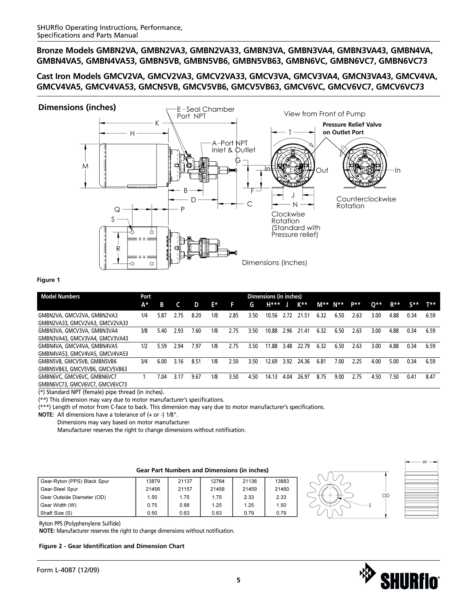### **Cast Iron Models GMCV2VA, GMCV2VA3, GMCV2VA33, GMCV3VA, GMCV3VA4, GMCN3VA43, GMCV4VA, GMCV4VA5, GMCV4VA53, GMCN5VB, GMCV5VB6, GMCV5VB63, GMCV6VC, GMCV6VC7, GMCV6VC73**



#### **Figure 1**

| <b>Model Numbers</b>           | Port |      | Dimensions (in inches) |      |     |      |      |       |      |       |      |      |      |       |                  |                  |      |
|--------------------------------|------|------|------------------------|------|-----|------|------|-------|------|-------|------|------|------|-------|------------------|------------------|------|
|                                | A*   | в    |                        | D    | E*  | H    | G.   | H***  | IJ   | K**   | M**  | N**  | p**  | $0**$ | $R^{\star\star}$ | $S^{\star\star}$ | T**  |
| GMBN2VA, GMCV2VA, GMBN2VA3     | 1/4  | 5.87 | 2.75                   | 8.20 | 1/8 | 2.85 | 3.50 | 10.56 | 2.72 | 21.51 | 6.32 | 6.50 | 2.63 | 3.00  | 4.88             | 0.34             | 6.59 |
| GMBN2VA33, GMCV2VA3, GMCV2VA33 |      |      |                        |      |     |      |      |       |      |       |      |      |      |       |                  |                  |      |
| GMBN3VA, GMCV3VA, GMBN3VA4     | 3/8  | 5.40 | 2.93                   | 7.60 | 1/8 | 2.75 | 3.50 | 10.88 | 2.96 | 21.41 | 6.32 | 6.50 | 2.63 | 3.00  | 4.88             | 0.34             | 6.59 |
| GMBN3VA43, GMCV3VA4, GMCV3VA43 |      |      |                        |      |     |      |      |       |      |       |      |      |      |       |                  |                  |      |
| GMBN4VA, GMCV4VA, GMBN4VA5     | 1/2  | 5.59 | 2.94                   | 7.97 | 1/8 | 2.75 | 3.50 | 11.88 | 3.48 | 22.79 | 6.32 | 6.50 | 2.63 | 3.00  | 4.88             | 0.34             | 6.59 |
| GMBN4VA53, GMCV4VA5, GMCV4VA53 |      |      |                        |      |     |      |      |       |      |       |      |      |      |       |                  |                  |      |
| GMBN5VB, GMCV5VB, GMBN5VB6     | 3/4  | 6.00 | 3.16                   | 8.51 | 1/8 | 2.50 | 3.50 | 12.69 | 3.92 | 24.36 | 6.81 | 7.00 | 2.25 | 4.00  | 5.00             | 0.34             | 6.59 |
| GMBN5VB63, GMCV5VB6, GMCV5VB63 |      |      |                        |      |     |      |      |       |      |       |      |      |      |       |                  |                  |      |
| GMBN6VC, GMCV6VC, GMBN6VC7     |      | 7.04 | 3.17                   | 9.67 | 1/8 | 3.50 | 4.50 | 14.13 | 4.04 | 26.97 | 8.75 | 9.00 | 2.75 | 4.50  | 7.50             | 0.41             | 8.47 |
| GMBN6VC73, GMCV6VC7, GMCV6VC73 |      |      |                        |      |     |      |      |       |      |       |      |      |      |       |                  |                  |      |

(\*) Standard NPT (female) pipe thread (in inches).

(\*\*) This dimension may vary due to motor manufacturer's specifications.

(\*\*\*) Length of motor from C-face to back. This dimension may vary due to motor manufacturer's specifications.

**NOTE:** All dimensions have a tolerance of (+ or -) 1/8".

Dimensions may vary based on motor manufacturer.

Manufacturer reserves the right to change dimensions without notification.

#### **Gear Part Numbers and Dimensions (in inches)**

| Gear-Ryton (PPS) Black Spur | 13879 | 21137 | 12764 | 21136 | 13883 |
|-----------------------------|-------|-------|-------|-------|-------|
| Gear-Steel Spur             | 21456 | 21157 | 21458 | 21459 | 21460 |
| Gear Outside Diameter (OD)  | 1.50  | 1.75  | 1.75  | 2.33  | 2.33  |
| Gear Width (W)              | 0.75  | 0.88  | 1.25  | 1.25  | 1.50  |
| Shaft Size (S)              | 0.50  | 0.63  | 0.63  | 0.79  | 0.79  |



| - W |
|-----|
|     |
|     |
|     |
|     |
|     |
|     |
|     |
|     |
|     |
|     |
|     |
|     |
|     |
|     |

Ryton PPS (Polyphenylene Sulfide)

**NOTE:** Manufacturer reserves the right to change dimensions without notification.

#### **Figure 2 - Gear Identification and Dimension Chart**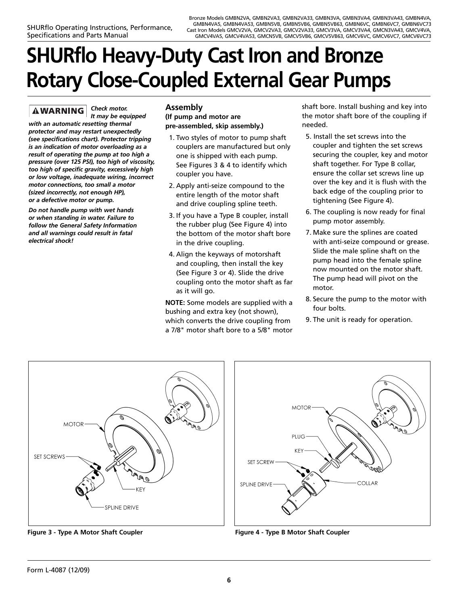# **SHURflo Heavy-Duty Cast Iron and Bronze Rotary Close-Coupled External Gear Pumps**

*Check motor.*  **AWARNING** *It may be equipped with an automatic resetting thermal protector and may restart unexpectedly (see specifications chart). Protector tripping is an indication of motor overloading as a result of operating the pump at too high a pressure (over 125 PSI), too high of viscosity, too high of specific gravity, excessively high or low voltage, inadequate wiring, incorrect motor connections, too small a motor (sized incorrectly, not enough HP), or a defective motor or pump.*

*Do not handle pump with wet hands or when standing in water. Failure to follow the General Safety Information and all warnings could result in fatal electrical shock!*

# **Assembly**

### **(If pump and motor are pre-assembled, skip assembly.)**

- 1. Two styles of motor to pump shaft couplers are manufactured but only one is shipped with each pump. See Figures 3 & 4 to identify which coupler you have.
- 2. Apply anti-seize compound to the entire length of the motor shaft and drive coupling spline teeth.
- 3. If you have a Type B coupler, install the rubber plug (See Figure 4) into the bottom of the motor shaft bore in the drive coupling.
- 4. Align the keyways of motorshaft and coupling, then install the key (See Figure 3 or 4). Slide the drive coupling onto the motor shaft as far as it will go.

**NOTE:** Some models are supplied with a bushing and extra key (not shown), which converts the drive coupling from a 7/8" motor shaft bore to a 5/8" motor shaft bore. Install bushing and key into the motor shaft bore of the coupling if needed.

- 5. Install the set screws into the coupler and tighten the set screws securing the coupler, key and motor shaft together. For Type B collar, ensure the collar set screws line up over the key and it is flush with the back edge of the coupling prior to tightening (See Figure 4).
- 6. The coupling is now ready for final pump motor assembly.
- 7. Make sure the splines are coated with anti-seize compound or grease. Slide the male spline shaft on the pump head into the female spline now mounted on the motor shaft. The pump head will pivot on the motor.
- 8. Secure the pump to the motor with four bolts.
- 9. The unit is ready for operation.



**Figure 3 - Type A Motor Shaft Coupler Figure 4 - Type B Motor Shaft Coupler**

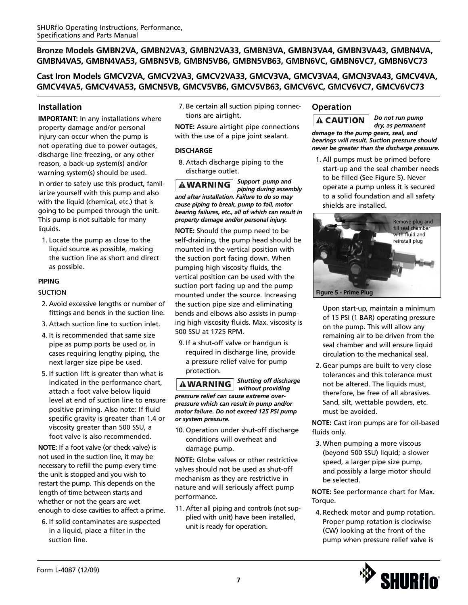**Cast Iron Models GMCV2VA, GMCV2VA3, GMCV2VA33, GMCV3VA, GMCV3VA4, GMCN3VA43, GMCV4VA, GMCV4VA5, GMCV4VA53, GMCN5VB, GMCV5VB6, GMCV5VB63, GMCV6VC, GMCV6VC7, GMCV6VC73**

### **Installation**

**IMPORTANT:** In any installations where property damage and/or personal injury can occur when the pump is not operating due to power outages, discharge line freezing, or any other reason, a back-up system(s) and/or warning system(s) should be used.

In order to safely use this product, familiarize yourself with this pump and also with the liquid (chemical, etc.) that is going to be pumped through the unit. This pump is not suitable for many liquids.

1. Locate the pump as close to the liquid source as possible, making the suction line as short and direct as possible.

### **PIPING**

SUCTION

- 2. Avoid excessive lengths or number of fittings and bends in the suction line.
- 3. Attach suction line to suction inlet.
- 4. It is recommended that same size pipe as pump ports be used or, in cases requiring lengthy piping, the next larger size pipe be used.
- 5. If suction lift is greater than what is indicated in the performance chart, attach a foot valve below liquid level at end of suction line to ensure positive priming. Also note: If fluid specific gravity is greater than 1.4 or viscosity greater than 500 SSU, a foot valve is also recommended.

**NOTE:** If a foot valve (or check valve) is not used in the suction line, it may be necessary to refill the pump every time the unit is stopped and you wish to restart the pump. This depends on the length of time between starts and whether or not the gears are wet enough to close cavities to affect a prime.

6. If solid contaminates are suspected in a liquid, place a filter in the suction line.

7. Be certain all suction piping connections are airtight.

**NOTE:** Assure airtight pipe connections with the use of a pipe joint sealant.

### **DISCHARGE**

8. Attach discharge piping to the discharge outlet.

*Support pump and piping during assembly and after installation. Failure to do so may cause piping to break, pump to fail, motor bearing failures, etc., all of which can result in property damage and/or personal injury.*

**NOTE:** Should the pump need to be self-draining, the pump head should be mounted in the vertical position with the suction port facing down. When pumping high viscosity fluids, the vertical position can be used with the suction port facing up and the pump mounted under the source. Increasing the suction pipe size and eliminating bends and elbows also assists in pumping high viscosity fluids. Max. viscosity is 500 SSU at 1725 RPM.

9. If a shut-off valve or handgun is required in discharge line, provide a pressure relief valve for pump protection.

*Shutting off discharge* **AWARNING** *without providing pressure relief can cause extreme overpressure which can result in pump and/or motor failure. Do not exceed 125 PSI pump or system pressure.*

10. Operation under shut-off discharge conditions will overheat and damage pump.

**NOTE:** Globe valves or other restrictive valves should not be used as shut-off mechanism as they are restrictive in nature and will seriously affect pump performance.

11. After all piping and controls (not supplied with unit) have been installed, unit is ready for operation.

# **Operation**

*Do not run pump*  $\mathbf A$  CAUTION *dry, as permanent damage to the pump gears, seal, and bearings will result. Suction pressure should never be greater than the discharge pressure.*

1. All pumps must be primed before start-up and the seal chamber needs to be filled (See Figure 5). Never operate a pump unless it is secured to a solid foundation and all safety shields are installed.



Upon start-up, maintain a minimum of 15 PSI (1 BAR) operating pressure on the pump. This will allow any remaining air to be driven from the seal chamber and will ensure liquid circulation to the mechanical seal.

2. Gear pumps are built to very close tolerances and this tolerance must not be altered. The liquids must, therefore, be free of all abrasives. Sand, silt, wettable powders, etc. must be avoided.

**NOTE:** Cast iron pumps are for oil-based fluids only.

3. When pumping a more viscous (beyond 500 SSU) liquid; a slower speed, a larger pipe size pump, and possibly a large motor should be selected.

**NOTE:** See performance chart for Max. Torque.

4. Recheck motor and pump rotation. Proper pump rotation is clockwise (CW) looking at the front of the pump when pressure relief valve is

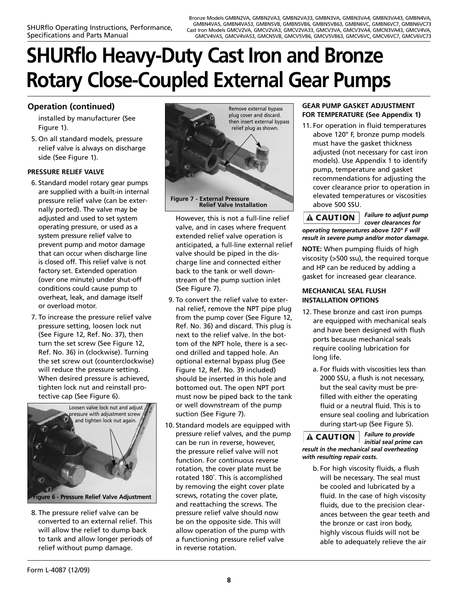# **SHURflo Heavy-Duty Cast Iron and Bronze Rotary Close-Coupled External Gear Pumps**

# **Operation (continued)**

installed by manufacturer (See Figure 1).

5. On all standard models, pressure relief valve is always on discharge side (See Figure 1).

### **PRESSURE RELIEF VALVE**

- 6. Standard model rotary gear pumps are supplied with a built-in internal pressure relief valve (can be externally ported). The valve may be adjusted and used to set system operating pressure, or used as a system pressure relief valve to prevent pump and motor damage that can occur when discharge line is closed off. This relief valve is not factory set. Extended operation (over one minute) under shut-off conditions could cause pump to overheat, leak, and damage itself or overload motor.
- 7. To increase the pressure relief valve pressure setting, loosen lock nut (See Figure 12, Ref. No. 37), then turn the set screw (See Figure 12, Ref. No. 36) in (clockwise). Turning the set screw out (counterclockwise) will reduce the pressure setting. When desired pressure is achieved, tighten lock nut and reinstall protective cap (See Figure 6).



8. The pressure relief valve can be converted to an external relief. This will allow the relief to dump back to tank and allow longer periods of relief without pump damage.



However, this is not a full-line relief valve, and in cases where frequent extended relief valve operation is anticipated, a full-line external relief valve should be piped in the discharge line and connected either back to the tank or well downstream of the pump suction inlet (See Figure 7).

- 9. To convert the relief valve to external relief, remove the NPT pipe plug from the pump cover (See Figure 12, Ref. No. 36) and discard. This plug is next to the relief valve. In the bottom of the NPT hole, there is a second drilled and tapped hole. An optional external bypass plug (See Figure 12, Ref. No. 39 included) should be inserted in this hole and bottomed out. The open NPT port must now be piped back to the tank or well downstream of the pump suction (See Figure 7).
- 10. Standard models are equipped with pressure relief valves, and the pump can be run in reverse, however, the pressure relief valve will not function. For continuous reverse rotation, the cover plate must be rotated 180˚. This is accomplished by removing the eight cover plate screws, rotating the cover plate, and reattaching the screws. The pressure relief valve should now be on the opposite side. This will allow operation of the pump with a functioning pressure relief valve in reverse rotation.

### **GEAR PUMP GASKET ADJUSTMENT FOR TEMPERATURE (See Appendix 1)**

11. For operation in fluid temperatures above 120° F, bronze pump models must have the gasket thickness adjusted (not necessary for cast iron models). Use Appendix 1 to identify pump, temperature and gasket recommendations for adjusting the cover clearance prior to operation in elevated temperatures or viscosities above 500 SSU.

*Failure to adjust pump* **A CAUTION** *cover clearances for operating temperatures above 120° F will result in severe pump and/or motor damage.*

**NOTE:** When pumping fluids of high viscosity (>500 ssu), the required torque and HP can be reduced by adding a gasket for increased gear clearance.

#### **MECHANICAL SEAL FLUSH INSTALLATION OPTIONS**

- 12. These bronze and cast iron pumps are equipped with mechanical seals and have been designed with flush ports because mechanical seals require cooling lubrication for long life.
	- a. For fluids with viscosities less than 2000 SSU, a flush is not necessary, but the seal cavity must be prefilled with either the operating fluid or a neutral fluid. This is to ensure seal cooling and lubrication during start-up (See Figure 5).

*Failure to provide initial seal prime can*

*result in the mechanical seal overheating with resulting repair costs.*

**A CAUTION** 

b. For high viscosity fluids, a flush will be necessary. The seal must be cooled and lubricated by a fluid. In the case of high viscosity fluids, due to the precision clearances between the gear teeth and the bronze or cast iron body, highly viscous fluids will not be able to adequately relieve the air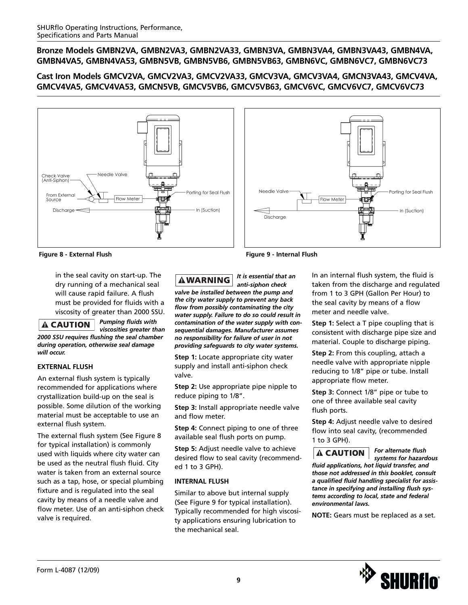### **Cast Iron Models GMCV2VA, GMCV2VA3, GMCV2VA33, GMCV3VA, GMCV3VA4, GMCN3VA43, GMCV4VA, GMCV4VA5, GMCV4VA53, GMCN5VB, GMCV5VB6, GMCV5VB63, GMCV6VC, GMCV6VC7, GMCV6VC73**





**Figure 8 - External Flush Figure 9 - Internal Flush**

in the seal cavity on start-up. The dry running of a mechanical seal will cause rapid failure. A flush must be provided for fluids with a viscosity of greater than 2000 SSU.

 $\mathbf A$  CAUTION

*Pumping fluids with viscosities greater than*

*2000 SSU requires flushing the seal chamber during operation, otherwise seal damage will occur.*

### **EXTERNAL FLUSH**

An external flush system is typically recommended for applications where crystallization build-up on the seal is possible. Some dilution of the working material must be acceptable to use an external flush system.

The external flush system (See Figure 8 for typical installation) is commonly used with liquids where city water can be used as the neutral flush fluid. City water is taken from an external source such as a tap, hose, or special plumbing fixture and is regulated into the seal cavity by means of a needle valve and flow meter. Use of an anti-siphon check valve is required.

*It is essential that an* **AWARNING** 

*anti-siphon check valve be installed between the pump and the city water supply to prevent any back flow from possibly contaminating the city water supply. Failure to do so could result in contamination of the water supply with consequential damages. Manufacturer assumes no responsibility for failure of user in not providing safeguards to city water systems.*

**Step 1:** Locate appropriate city water supply and install anti-siphon check valve.

**Step 2:** Use appropriate pipe nipple to reduce piping to 1/8".

**Step 3:** Install appropriate needle valve and flow meter.

**Step 4:** Connect piping to one of three available seal flush ports on pump.

**Step 5:** Adjust needle valve to achieve desired flow to seal cavity (recommended 1 to 3 GPH).

### **INTERNAL FLUSH**

Similar to above but internal supply (See Figure 9 for typical installation). Typically recommended for high viscosity applications ensuring lubrication to the mechanical seal.

In an internal flush system, the fluid is taken from the discharge and regulated from 1 to 3 GPH (Gallon Per Hour) to the seal cavity by means of a flow meter and needle valve.

**Step 1:** Select a T pipe coupling that is consistent with discharge pipe size and material. Couple to discharge piping.

**Step 2:** From this coupling, attach a needle valve with appropriate nipple reducing to 1/8" pipe or tube. Install appropriate flow meter.

**Step 3:** Connect 1/8" pipe or tube to one of three available seal cavity flush ports.

**Step 4:** Adjust needle valve to desired flow into seal cavity, (recommended 1 to 3 GPH).

*For alternate flush*   $\mathbf A$  CAUTION *systems for hazardous fluid applications, hot liquid transfer, and those not addressed in this booklet, consult a qualified fluid handling specialist for assistance in specifying and installing flush systems according to local, state and federal environmental laws.*

**NOTE:** Gears must be replaced as a set.

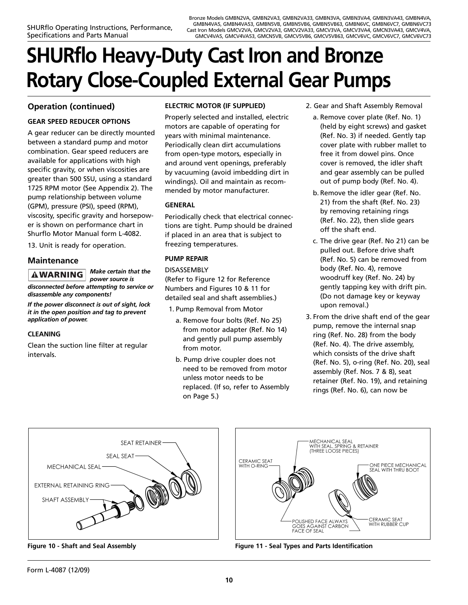# **SHURflo Heavy-Duty Cast Iron and Bronze Rotary Close-Coupled External Gear Pumps**

# **Operation (continued)**

### **GEAR SPEED REDUCER OPTIONS**

A gear reducer can be directly mounted between a standard pump and motor combination. Gear speed reducers are available for applications with high specific gravity, or when viscosities are greater than 500 SSU, using a standard 1725 RPM motor (See Appendix 2). The pump relationship between volume (GPM), pressure (PSI), speed (RPM), viscosity, specific gravity and horsepower is shown on performance chart in Shurflo Motor Manual form L-4082.

13. Unit is ready for operation.

### **Maintenance**

*Make certain that the* **AWARNING** *power source is disconnected before attempting to service or disassemble any components!*

*If the power disconnect is out of sight, lock it in the open position and tag to prevent application of power.*

### **CLEANING**

Clean the suction line filter at regular intervals.

### **ELECTRIC MOTOR (IF SUPPLIED)**

Properly selected and installed, electric motors are capable of operating for years with minimal maintenance. Periodically clean dirt accumulations from open-type motors, especially in and around vent openings, preferably by vacuuming (avoid imbedding dirt in windings). Oil and maintain as recommended by motor manufacturer.

### **GENERAL**

Periodically check that electrical connections are tight. Pump should be drained if placed in an area that is subject to freezing temperatures.

### **PUMP REPAIR**

DISASSEMBLY (Refer to Figure 12 for Reference Numbers and Figures 10 & 11 for detailed seal and shaft assemblies.)

- 1. Pump Removal from Motor
	- a. Remove four bolts (Ref. No 25) from motor adapter (Ref. No 14) and gently pull pump assembly from motor.
- b. Pump drive coupler does not need to be removed from motor unless motor needs to be replaced. (If so, refer to Assembly on Page 5.)
- 2. Gear and Shaft Assembly Removal
	- a. Remove cover plate (Ref. No. 1) (held by eight screws) and gasket (Ref. No. 3) if needed. Gently tap cover plate with rubber mallet to free it from dowel pins. Once cover is removed, the idler shaft and gear assembly can be pulled out of pump body (Ref. No. 4).
	- b. Remove the idler gear (Ref. No. 21) from the shaft (Ref. No. 23) by removing retaining rings (Ref. No. 22), then slide gears off the shaft end.
	- c. The drive gear (Ref. No 21) can be pulled out. Before drive shaft (Ref. No. 5) can be removed from body (Ref. No. 4), remove woodruff key (Ref. No. 24) by gently tapping key with drift pin. (Do not damage key or keyway upon removal.)
- 3. From the drive shaft end of the gear pump, remove the internal snap ring (Ref. No. 28) from the body (Ref. No. 4). The drive assembly, which consists of the drive shaft (Ref. No. 5), o-ring (Ref. No. 20), seal assembly (Ref. Nos. 7 & 8), seat retainer (Ref. No. 19), and retaining rings (Ref. No. 6), can now be







**Figure 10 - Shaft and Seal Assembly Figure 11 - Seal Types and Parts Identification**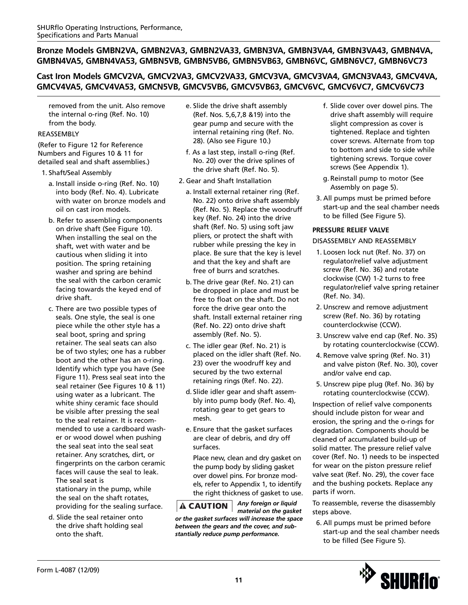# **Cast Iron Models GMCV2VA, GMCV2VA3, GMCV2VA33, GMCV3VA, GMCV3VA4, GMCN3VA43, GMCV4VA, GMCV4VA5, GMCV4VA53, GMCN5VB, GMCV5VB6, GMCV5VB63, GMCV6VC, GMCV6VC7, GMCV6VC73**

removed from the unit. Also remove the internal o-ring (Ref. No. 10) from the body.

### REASSEMBLY

(Refer to Figure 12 for Reference Numbers and Figures 10 & 11 for detailed seal and shaft assemblies.)

### 1. Shaft/Seal Assembly

- a. Install inside o-ring (Ref. No. 10) into body (Ref. No. 4). Lubricate with water on bronze models and oil on cast iron models.
- b. Refer to assembling components on drive shaft (See Figure 10). When installing the seal on the shaft, wet with water and be cautious when sliding it into position. The spring retaining washer and spring are behind the seal with the carbon ceramic facing towards the keyed end of drive shaft.
- c. There are two possible types of seals. One style, the seal is one piece while the other style has a seal boot, spring and spring retainer. The seal seats can also be of two styles; one has a rubber boot and the other has an o-ring. Identify which type you have (See Figure 11). Press seal seat into the seal retainer (See Figures 10 & 11) using water as a lubricant. The white shiny ceramic face should be visible after pressing the seal to the seal retainer. It is recommended to use a cardboard washer or wood dowel when pushing the seal seat into the seal seat retainer. Any scratches, dirt, or fingerprints on the carbon ceramic faces will cause the seal to leak. The seal seat is stationary in the pump, while the seal on the shaft rotates, providing for the sealing surface.
- d. Slide the seal retainer onto the drive shaft holding seal onto the shaft.
- e. Slide the drive shaft assembly (Ref. Nos. 5,6,7,8 &19) into the gear pump and secure with the internal retaining ring (Ref. No. 28). (Also see Figure 10.)
- f. As a last step, install o-ring (Ref. No. 20) over the drive splines of the drive shaft (Ref. No. 5).
- 2. Gear and Shaft Installation
	- a. Install external retainer ring (Ref. No. 22) onto drive shaft assembly (Ref. No. 5). Replace the woodruff key (Ref. No. 24) into the drive shaft (Ref. No. 5) using soft jaw pliers, or protect the shaft with rubber while pressing the key in place. Be sure that the key is level and that the key and shaft are free of burrs and scratches.
	- b. The drive gear (Ref. No. 21) can be dropped in place and must be free to float on the shaft. Do not force the drive gear onto the shaft. Install external retainer ring (Ref. No. 22) onto drive shaft assembly (Ref. No. 5).
	- c. The idler gear (Ref. No. 21) is placed on the idler shaft (Ref. No. 23) over the woodruff key and secured by the two external retaining rings (Ref. No. 22).
	- d. Slide idler gear and shaft assembly into pump body (Ref. No. 4), rotating gear to get gears to mesh.
	- e. Ensure that the gasket surfaces are clear of debris, and dry off surfaces.

Place new, clean and dry gasket on the pump body by sliding gasket over dowel pins. For bronze models, refer to Appendix 1, to identify the right thickness of gasket to use.

*Any foreign or liquid* **A CAUTION** *material on the gasket or the gasket surfaces will increase the space between the gears and the cover, and substantially reduce pump performance.*

- f. Slide cover over dowel pins. The drive shaft assembly will require slight compression as cover is tightened. Replace and tighten cover screws. Alternate from top to bottom and side to side while tightening screws. Torque cover screws (See Appendix 1).
- g. Reinstall pump to motor (See Assembly on page 5).
- 3. All pumps must be primed before start-up and the seal chamber needs to be filled (See Figure 5).

### **PRESSURE RELIEF VALVE**

### DISASSEMBLY AND REASSEMBLY

- 1. Loosen lock nut (Ref. No. 37) on regulator/relief valve adjustment screw (Ref. No. 36) and rotate clockwise (CW) 1-2 turns to free regulator/relief valve spring retainer (Ref. No. 34).
- 2. Unscrew and remove adjustment screw (Ref. No. 36) by rotating counterclockwise (CCW).
- 3. Unscrew valve end cap (Ref. No. 35) by rotating counterclockwise (CCW).
- 4. Remove valve spring (Ref. No. 31) and valve piston (Ref. No. 30), cover and/or valve end cap.
- 5. Unscrew pipe plug (Ref. No. 36) by rotating counterclockwise (CCW).

Inspection of relief valve components should include piston for wear and erosion, the spring and the o-rings for degradation. Components should be cleaned of accumulated build-up of solid matter. The pressure relief valve cover (Ref. No. 1) needs to be inspected for wear on the piston pressure relief valve seat (Ref. No. 29), the cover face and the bushing pockets. Replace any parts if worn.

To reassemble, reverse the disassembly steps above.

6. All pumps must be primed before start-up and the seal chamber needs to be filled (See Figure 5).

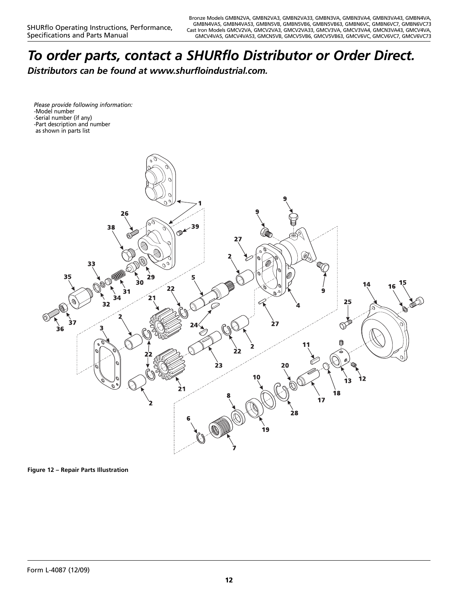# *To order parts, contact a SHURflo Distributor or Order Direct.*

*Distributors can be found at www.shurfloindustrial.com.*

*Please provide following information:* -Model number -Serial number (if any) -Part description and number as shown in parts list



**Figure 12 – Repair Parts Illustration**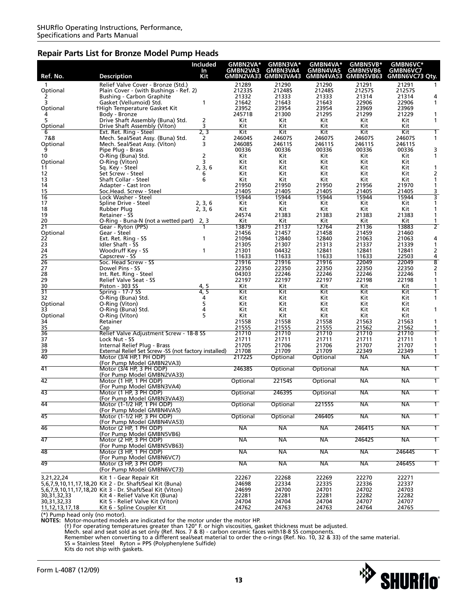### **Repair Parts List for Bronze Model Pump Heads**

|                                      |                                                                                     | Included    | GMBN2VA*       | GMBN3VA*                        | GMBN4VA*                        | GMBN5VB*        | GMBN6VC*                                       |
|--------------------------------------|-------------------------------------------------------------------------------------|-------------|----------------|---------------------------------|---------------------------------|-----------------|------------------------------------------------|
| Ref. No.                             | <b>Description</b>                                                                  | In<br>Kit   | GMBN2VA3       | GMBN3VA4<br>GMBN2VA33 GMBN3VA43 | GMBN4VA5<br>GMBN4VA53 GMBN5VB63 | <b>GMBN5VB6</b> | <b>GMBN6VC7</b><br>GMBN6VC73 Qty.              |
| 1                                    | Relief Valve Cover - Bronze (Std.)                                                  |             | 21289          | 21290                           | 21290                           | 21291           | 21291                                          |
| Optional                             | Plain Cover - (with Bushings - Ref. 2)                                              |             | 212335         | 212485                          | 21248S                          | 21257S          | 21257S                                         |
|                                      | <b>Bushing - Carbon Graphite</b>                                                    |             | 21332          | 21333                           | 21333                           | 21314           | 21314<br>4                                     |
| 3                                    | Gasket (Vellumoid) Std.<br><b>tHigh Temperature Gasket Kit</b>                      | 1           | 21642<br>23952 | 21643<br>23954                  | 21643<br>23954                  | 22906<br>23969  | 22906<br>1<br>23969                            |
| Optional                             | Body - Bronze                                                                       |             | 24571B         | 21300                           | 21295                           | 21299           | 21229<br>1                                     |
| 5                                    | Drive Shaft Assembly (Buna) Std.                                                    | 2           | Kit            | Kit                             | Kit                             | Kit             | Kit<br>1                                       |
| Optional                             | Drive Shaft Assembly (Viton)                                                        | 3<br>2, 3   | Kit            | Kit<br>Kit                      | Kit<br>Kit                      | Kit             | Kit<br>Kit                                     |
| 6<br>7&8                             | Ext. Ret. Ring - Steel<br>Mech. Seal/Seat Assy. (Buna) Std.                         | 2           | Kit<br>24604S  | 24607S                          | 24607S                          | Kit<br>24607S   | 24607S                                         |
| Optional                             | Mech. Seal/Seat Assy. (Viton)                                                       | 3           | 24608S         | 24611S                          | 24611S                          | 24611S          | 24611S                                         |
| 9                                    | Pipe Plug - Brass                                                                   |             | 00336          | 00336                           | 00336                           | 00336           | 3<br>00336                                     |
| 10<br>Optional                       | O-Ring (Buna) Std.<br>O-Ring (Viton)                                                | 2<br>3      | Kit<br>Kit     | Kit<br>Kit                      | Kit<br>Kit                      | Kit<br>Kit      | Kit<br>1<br>Kit                                |
| 11                                   | Sq. Key - Steel                                                                     | 2, 3, 6     | Kit            | Kit                             | Kit                             | Kit             | Kit                                            |
| 12                                   | Set Screw - Steel                                                                   | 6           | Kit            | Kit                             | Kit                             | Kit             | Kit<br>2                                       |
| 13<br>14                             | Shaft Collar - Steel<br>Adapter - Cast Iron                                         | 6           | Kit<br>21950   | Kit<br>21950                    | Kit<br>21950                    | Kit<br>21956    | Kit<br>1<br>21970<br>1                         |
| 15                                   | Soc.Head. Screw - Steel                                                             |             | 21405          | 21405                           | 21405                           | 21405           | 3<br>21405                                     |
| 16                                   | Lock Washer - Steel                                                                 |             | 15944          | 15944                           | 15944                           | 15944           | 3<br>15944                                     |
| 17<br>18                             | Spline Drive - Steel                                                                | 2, 3, 6     | Kit<br>Kit     | Kit                             | Kit                             | Kit             | Kit<br>1<br>1                                  |
| 19                                   | Rubber Plug<br>Retainer - SS                                                        | 2, 3, 6     | 24574          | Kit<br>21383                    | Kit<br>21383                    | Kit<br>21383    | Kit<br>21383                                   |
| 20                                   | O-Ring - Buna-N (not a wetted part)                                                 | 2, 3        | Kit            | Kit                             | Kit                             | Kit             | Kit<br>1                                       |
| 21                                   | Gear - Ryton (PPS)                                                                  |             | 13879          | 21137                           | 12764                           | 21136           | 2<br>13883                                     |
| Optional<br>22                       | Gear - Steel<br>Ext. Ret. Ring - SS                                                 | 1           | 21456<br>21094 | 21457<br>12840                  | 21458<br>12840                  | 21459<br>21063  | 21460<br>21063<br>4                            |
| 23                                   | Idler Shaft - SS                                                                    |             | 21305          | 21307                           | 21313                           | 21337           | 21339<br>1                                     |
| 24                                   | Woodruff Key - SS                                                                   | 1           | 21301          | 04432                           | 12841                           | 12841           | 2<br>12841                                     |
| 25<br>$\overline{26}$                | Capscrew - SS                                                                       |             | 11633          | 11633                           | 11633                           | 11633           | 4<br>22503                                     |
| 27                                   | Soc. Head Screw - SS<br>Dowel Pins - SS                                             |             | 21916<br>22350 | 21916<br>22350                  | 21916<br>22350                  | 22049<br>22350  | $\overline{\mathbf{8}}$<br>22049<br>22350<br>2 |
| 28                                   | Int. Ret. Rina - Steel                                                              |             | 04303          | 22246                           | 22246                           | 22246           | 22246<br>1                                     |
| 29                                   | <b>Relief Valve Seat - SS</b>                                                       |             | 22197          | 22197                           | 22197                           | 22198           | 22198                                          |
| 30<br>$\overline{31}$                | Piston - 303 SS<br>Spring - 17-7 SS                                                 | 4.5<br>4, 5 | Kit<br>Kit     | Kit<br>Kit                      | Kit<br>Kit                      | Kit<br>Kit      | Kit<br>1<br>Kit                                |
| 32                                   | O-Ring (Buna) Std.                                                                  | 4           | Kit            | Kit                             | Kit                             | Kit             | Kit                                            |
| Optional                             | O-Ring (Viton)                                                                      | 5           | Kit            | Kit                             | Kit                             | Kit             | Kit                                            |
| 33<br>Optional                       | O-Ring (Buna) Std.<br>O-Ring (Viton)                                                | 4<br>5      | Kit<br>Kit     | Kit<br>Kit                      | Kit<br>Kit                      | Kit<br>Kit      | Kit<br>1<br>Kit                                |
| 34                                   | Retainer                                                                            |             | 21558          | 21558                           | 21558                           | 21563           | 21563                                          |
| 35                                   | Cap                                                                                 |             | 21555          | 21555                           | 21555                           | 21562           | 21562<br>1                                     |
| $\overline{36}$                      | Relief Valve Adjustment Screw - 18-8 SS                                             |             | 21710          | 21710                           | 21710                           | 21710           | 21710                                          |
| 37<br>38                             | Lock Nut - SS<br>Internal Relief Plug - Brass                                       |             | 21711<br>21705 | 21711<br>21706                  | 21711<br>21706                  | 21711<br>21707  | 21711<br>21707                                 |
| 39                                   | External Relief Set Screw -SS (not factory installed)                               |             | 21708          | 21709                           | 21709                           | 22349           | 22349<br>1                                     |
| 40                                   | Motor (3/4 HP, 1 PH ODP)                                                            |             | 217225         | Optional                        | Optional                        | <b>NA</b>       | NА                                             |
| 41                                   | (For Pump Model GMBN2VA3)<br>Motor (3/4 HP, 3 PH ODP)                               |             | 246385         | Optional                        | Optional                        | <b>NA</b>       | <b>NA</b>                                      |
|                                      | (For Pump Model GMBN2VA33)                                                          |             |                |                                 |                                 |                 |                                                |
| 42                                   | Motor (1 HP, 1 PH ODP)                                                              |             | Optional       | 221545                          | Optional                        | <b>NA</b>       | <b>NA</b>                                      |
| 43                                   | (For Pump Model GMBN3VA4)<br>Motor (1 HP, 3 PH ODP)                                 |             | Optional       | 246395                          | Optional                        | <b>NA</b>       | <b>NA</b>                                      |
|                                      | (For Pump Model GMBN3VA43)                                                          |             |                |                                 |                                 |                 |                                                |
| 44                                   | Motor (1-1/2 HP, 1 PH ODP)                                                          |             | Optional       | Optional                        | <b>22155S</b>                   | <b>NA</b>       | <b>NA</b><br>1                                 |
| 45                                   | (For Pump Model GMBN4VA5)<br>Motor (1-1/2 HP, 3 PH ODP)                             |             | Optional       | Optional                        | 246405                          | <b>NA</b>       | <b>NA</b><br>$\mathbf{1}$                      |
|                                      | (For Pump Model GMBN4VA53)                                                          |             |                |                                 |                                 |                 |                                                |
| 46                                   | Motor (2 HP, 1 PH ODP)                                                              |             | <b>NA</b>      | <b>NA</b>                       | <b>NA</b>                       | 246415          | <b>NA</b><br>$\overline{1}$                    |
|                                      | (For Pump Model GMBN5VB6)                                                           |             |                |                                 |                                 |                 |                                                |
| 47                                   | Motor (2 HP, 3 PH ODP)<br>(For Pump Model GMBN5VB63)                                |             | <b>NA</b>      | <b>NA</b>                       | <b>NA</b>                       | 246425          | <b>NA</b><br>$\mathbf{1}$                      |
| 48                                   | Motor (3 HP, 1 PH ODP)                                                              |             | <b>NA</b>      | <b>NA</b>                       | <b>NA</b>                       | <b>NA</b>       | 24644S<br>1                                    |
|                                      | (For Pump Model GMBN6VC7)                                                           |             |                |                                 |                                 |                 |                                                |
| 49                                   | Motor (3 HP, 3 PH ODP)<br>(For Pump Model GMBN6VC73)                                |             | <b>NA</b>      | <b>NA</b>                       | $\overline{\mathsf{NA}}$        | NA              | 246455<br>Τ                                    |
| 3,21,22,24                           |                                                                                     |             |                |                                 |                                 |                 | 22271                                          |
|                                      | Kit 1 - Gear Repair Kit<br>5,6,7,9,10,11,17,18,20 Kit 2 - Dr. Shaft/Seal Kit (Buna) |             | 22267<br>24698 | 22268<br>22334                  | 22269<br>22335                  | 22270<br>22336  | 22337                                          |
|                                      | 5,6,7,9,10,11,17,18,20 Kit 3 - Dr. Shaft/Seal Kit (Viton)                           |             | 24699          | 24700                           | 24701                           | 24702           | 24703                                          |
| 30, 31, 32, 33                       | Kit 4 - Relief Valve Kit (Buna)                                                     |             | 22281          | 22281                           | 22281                           | 22282           | 22282                                          |
| 30, 31, 32, 33<br>11, 12, 13, 17, 18 | Kit 5 - Relief Valve Kit (Viton)<br>Kit 6 - Spline Coupler Kit                      |             | 24704<br>24762 | 24704<br>24763                  | 24704<br>24763                  | 24707<br>24764  | 24707<br>24765                                 |
|                                      |                                                                                     |             |                |                                 |                                 |                 |                                                |

(\*) Pump head only (no motor).<br> **NOTES:** Motor-mounted models are indicated for the motor under the motor HP.<br> **NOTES:** Motor-mounted models are indicated for the motor under the motor HP.<br>
(†) For operating temperatures g

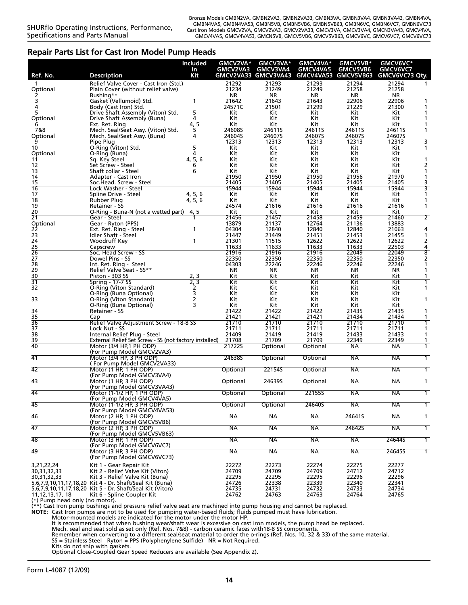### **Repair Parts List for Cast Iron Model Pump Heads**

| Ref. No.             | <b>Description</b>                                                                            | <b>Included</b><br>In<br>Kit | GMCV2VA*<br><b>GMCV2VA3</b> | GMCV3VA*<br>GMCV3VA4<br>GMCV2VA33 GMCV3VA43 | GMCV4VA*<br><b>GMCV4VA5</b><br>GMCV4VA53 | GMCV5VB*<br><b>GMCV5VB6</b><br>GMCV5VB63 | GMCV6VC*<br><b>GMCV6VC7</b><br>GMCV6VC73 Qty. |                         |
|----------------------|-----------------------------------------------------------------------------------------------|------------------------------|-----------------------------|---------------------------------------------|------------------------------------------|------------------------------------------|-----------------------------------------------|-------------------------|
| 1                    | Relief Valve Cover - Cast Iron (Std.)                                                         |                              | 21292                       | 21293                                       | 21293                                    | 21294                                    | 21294                                         |                         |
| Optional             | Plain Cover (without relief valve)                                                            |                              | 21234                       | 21249                                       | 21249                                    | 21258                                    | 21258                                         |                         |
|                      | Bushing**                                                                                     |                              | NR                          | NR                                          | NR                                       | NR                                       | ΝR                                            |                         |
| 3                    | Gasket (Vellumoid) Std.                                                                       | 1                            | 21642                       | 21643                                       | 21643                                    | 22906                                    | 22906                                         |                         |
| 4                    | Body (Cast Iron) Std.                                                                         |                              | 24571C                      | 21501                                       | 21299                                    | 21229                                    | 21300                                         | 1                       |
| 5                    | Drive Shaft Assembly (Viton) Std.                                                             | 5                            | Kit                         | Kit                                         | Kit                                      | Kit                                      | Kit                                           | 1                       |
| Optional<br>h        | Drive Shaft Assembly (Buna)                                                                   | 4<br>4, 5                    | Kit<br>Kit                  | Kit<br>Kit                                  | Kit<br>Kit                               | Kit<br>Kit                               | Kit<br>Kit                                    | 1                       |
| 7&8                  | Ext. Ret. Ring<br>Mech. Seal/Seat Assy. (Viton) Std.                                          | 5                            | 24608S                      | 24611S                                      | 24611S                                   | 24611S                                   | 24611S                                        | 1                       |
| Optional             | Mech. Seal/Seat Assy. (Buna)                                                                  | 4                            | 24604S                      | 24607S                                      | 24607S                                   | 24607S                                   | 24607S                                        |                         |
|                      | Pipe Plug                                                                                     |                              | 12313                       | 12313                                       | 12313                                    | 12313                                    | 12313                                         | 3                       |
| 10                   | O-Ring (Viton) Std.                                                                           | 5                            | Kit                         | Kit                                         | Kit                                      | Kit                                      | Kit.                                          | 1                       |
| Optional             | O-Ring (Buna)                                                                                 | 4                            | Kit                         | Kit                                         | Kit                                      | Kit                                      | Kit                                           |                         |
| 11                   | Sq. Key Steel                                                                                 | 5,6<br>4,                    | Kit                         | Kit                                         | Kit                                      | Kit                                      | Kit                                           | 1                       |
| 12                   | Set Screw - Steel                                                                             | 6                            | Kit                         | Kit                                         | Kit                                      | Kit                                      | Kit                                           | 2                       |
| 13<br>14             | Shaft collar - Steel<br>Adapter - Cast Iron                                                   | 6                            | Kit<br>21950                | Kit<br>21950                                | Kit<br>21950                             | Kit<br>21956                             | Kit<br>21970                                  | 1<br>1                  |
| 15                   | Soc.Head. Screw - Steel                                                                       |                              | 21405                       | 21405                                       | 21405                                    | 21405                                    | 21405                                         | 3                       |
| 16                   | Lock Washer - Steel                                                                           |                              | 15944                       | 15944                                       | 15944                                    | 15944                                    | 15944                                         | 3                       |
| 17                   | Spline Drive - Steel                                                                          | 4, 5, 6                      | Kit                         | Kit                                         | Kit                                      | Kit.                                     | Kit                                           | 1                       |
| 18                   | Rubber Plug                                                                                   | 4, 5, 6                      | Kit                         | Kit                                         | Kit                                      | Kit                                      | Kit                                           | 1                       |
| 19                   | Retainer - SS                                                                                 |                              | 24574                       | 21616                                       | 21616                                    | 21616                                    | 21616                                         | 1                       |
| 20                   | O-Ring - Buna-N (not a wetted part)                                                           | 4, 5                         | Kit                         | Kit                                         | Kit                                      | Kit                                      | Kit                                           |                         |
| $\overline{21}$      | Gear - Steel                                                                                  |                              | 21456                       | 21457                                       | 21458                                    | 21459                                    | 21460                                         | $\overline{2}$          |
| Optional<br>22       | Gear - Ryton (PPS)<br>Ext. Ret. Ring - Steel                                                  | 1                            | 13879<br>04304              | 21137<br>12840                              | 12764<br>12840                           | 21136<br>12840                           | 13883<br>21063                                | 4                       |
| 23                   | Idler Shaft - Steel                                                                           |                              | 21447                       | 21449                                       | 21451                                    | 21453                                    | 21455                                         | 1                       |
| 24                   | Woodruff Kev                                                                                  | 1                            | 21301                       | 11515                                       | 12622                                    | 12622                                    | 12622                                         | 2                       |
|                      | Capscrew                                                                                      |                              | 11633                       | 11633                                       | 11633                                    | 11633                                    | 22503                                         | 4                       |
| $\frac{25}{26}$      | Soc. Head Screw - SS                                                                          |                              | 21916                       | 21916                                       | 21916                                    | 22049                                    | 22049                                         | $\overline{\mathbf{8}}$ |
| 27                   | Dowel Pins - SS                                                                               |                              | 22350                       | 22350                                       | 22350                                    | 22350                                    | 22350                                         | 2                       |
| 28                   | Int. Ret. Ring - Steel                                                                        |                              | 04303                       | 22246                                       | 22246                                    | 22246                                    | 22246                                         | 1                       |
| 29                   | Relief Valve Seat - SS**                                                                      |                              | NR                          | ΝR                                          | ΝR                                       | NR                                       | NR                                            | 1                       |
| 30<br>31             | Piston - 303 SS<br><b>Spring - 17-7 SS</b>                                                    | 2, 3<br>2, 3                 | Kit<br>Kit                  | Kit<br>Kit                                  | Kit<br>Kit                               | Kit<br>Kit                               | Kit<br>Kit                                    | 1                       |
| 32                   | O-Ring (Viton Standard)                                                                       | 2                            | Kit                         | Kit                                         | Kit                                      | Kit                                      | Kit                                           | 1                       |
|                      | O-Ring (Buna Optional)                                                                        | 3                            | Kit                         | Kit                                         | Kit                                      | Kit                                      | Kit                                           |                         |
| 33                   | O-Ring (Viton Standard)                                                                       | 2                            | Kit                         | Kit                                         | Kit                                      | Kit                                      | Kit                                           | 1                       |
|                      | O-Ring (Buna Optional)                                                                        | 3                            | Kit                         | Kit                                         | Kit                                      | Kit                                      | Kit                                           |                         |
| 34                   | Retainer - SS                                                                                 |                              | 21422                       | 21422                                       | 21422                                    | 21435                                    | 21435                                         | 1                       |
| 35                   | Cap                                                                                           |                              | 21421                       | 21421                                       | 21421                                    | 21434                                    | 21434                                         | 1                       |
| $\frac{1}{36}$<br>37 | Relief Valve Adjustment Screw - 18-8 SS                                                       |                              | 21710                       | 21710                                       | 21710                                    | 21710                                    | 21710                                         | 1                       |
| 38                   | Lock Nut - SS<br>Internal Relief Plug - Steel                                                 |                              | 21711<br>21409              | 21711<br>21419                              | 21711<br>21419                           | 21711<br>21433                           | 21711<br>21433                                | 1<br>1                  |
| 39                   | External Relief Set Screw - SS (not factory installed)                                        |                              | 21708                       | 21709                                       | 21709                                    | 22349                                    | 22349                                         | 1                       |
| 40                   | Motor (3/4 HP, 1 PH ODP)                                                                      |                              | 217225                      | Optional                                    | Optional                                 | <b>NA</b>                                | <b>NA</b>                                     |                         |
|                      | (For Pump Model GMCV2VA3)                                                                     |                              |                             |                                             |                                          |                                          |                                               |                         |
| 41                   | Motor (3/4 HP, 3 PH ODP)                                                                      |                              | 246385                      | Optional                                    | Optional                                 | <b>NA</b>                                | NA                                            |                         |
|                      | (For Pump Model GMCV2VA33)                                                                    |                              |                             |                                             |                                          |                                          |                                               |                         |
| 42                   | Motor (1 HP, 1 PH ODP)                                                                        |                              | Optional                    | 22154S                                      | Optional                                 | NA                                       | NA                                            |                         |
|                      | (For Pump Model GMCV3VA4)                                                                     |                              |                             |                                             |                                          |                                          |                                               |                         |
| 43                   | Motor (1 HP, 3 PH ODP)<br>(For Pump Model GMCV3VA43)                                          |                              | Optional                    | 246395                                      | Optional                                 | <b>NA</b>                                | NA                                            |                         |
| 44                   | Motor (1-1/2 HP, 1 PH ODP)                                                                    |                              | Optional                    | Optional                                    | <b>22155S</b>                            | <b>NA</b>                                | <b>NA</b>                                     | $\overline{1}$          |
|                      | (For Pump Model GMCV4VA5)                                                                     |                              |                             |                                             |                                          |                                          |                                               |                         |
| 45                   | Motor (1-1/2 HP, 3 PH ODP)                                                                    |                              | Optional                    | Optional                                    | 246405                                   | NА                                       | NА                                            |                         |
|                      | (For Pump Model GMCV4VA53)                                                                    |                              |                             |                                             |                                          |                                          |                                               |                         |
| 46                   | Motor (2 HP, 1 PH ODP)                                                                        |                              | <b>NA</b>                   | NА                                          | NА                                       | 246415                                   | NА                                            | Τ                       |
|                      | (For Pump Model GMCV5VB6)                                                                     |                              |                             |                                             |                                          |                                          |                                               |                         |
| 47                   | Motor (2 HP, 3 PH ODP)                                                                        |                              | <b>NA</b>                   | <b>NA</b>                                   | NА                                       | 246425                                   | NA                                            | 1                       |
| 48                   | (For Pump Model GMCV5VB63)<br>Motor (3 HP, 1 PH ODP)                                          |                              | <b>NA</b>                   | <b>NA</b>                                   | NА                                       | <b>NA</b>                                | 24644S                                        | $\overline{1}$          |
|                      | (For Pump Model GMCV6VC7)                                                                     |                              |                             |                                             |                                          |                                          |                                               |                         |
| 49                   | Motor (3 HP, 3 PH ODP)                                                                        |                              | <b>NA</b>                   | <b>NA</b>                                   | NА                                       | <b>NA</b>                                | 246455                                        | $\overline{1}$          |
|                      | (For Pump Model GMCV6VC73)                                                                    |                              |                             |                                             |                                          |                                          |                                               |                         |
| 3,21,22,24           | Kit 1 - Gear Repair Kit                                                                       |                              | 22272                       | 22273                                       | 22274                                    | 22275                                    | 22277                                         |                         |
| 30,31,32,33          | Kit 2 - Relief Valve Kit (Viton)                                                              |                              | 24709                       | 24709                                       | 24709                                    | 24712                                    | 24712                                         |                         |
| 30, 31, 32, 33       | Kit 3 - Relief Valve Kit (Buna)                                                               |                              | 22295                       | 22295                                       | 22295                                    | 22296                                    | 22296                                         |                         |
|                      | 5,6,7,9,10,11,17,18,20 Kit 4 - Dr. Shaft/Seal Kit (Buna)                                      |                              | 24726                       | 22338                                       | 22339                                    | 22340                                    | 22341                                         |                         |
| 11112171710          | 5,6,7,9,10,11,17,18,20 Kit 5 - Dr. Shaft/Seal Kit (Viton)<br>$V$ it 6 - Spling Coupler $V$ it |                              | 24735<br>$71767$            | 24731<br>$717C2$                            | 24732<br>$71762$                         | 24733<br>71761                           | 24734<br>24765                                |                         |
|                      |                                                                                               |                              |                             |                                             |                                          |                                          |                                               |                         |

11,12,13,17, 18 Kit 6 - Spline Coupler Kit 24762 24763 24763 24764 24765 (\*) Pump head only (no motor). (\*\*) Cast Iron pump bushings and pressure relief valve seat are machined into pump housing and cannot be replaced.

**NOTE:** Cast Iron pumps are not to be used for pumping water-based fluids; fluids pumped must have lubrication. Motor-mounted models are indicated for the motor under the motor HP.

It is recommended that when bushing wear/shaft wear is excessive on cast iron models, the pump head be replaced.<br>Mech. seal and seat sold as set only (Ref. Nos. 7&8) - carbon ceramic faces with18-8 SS components.<br>Remember

Kits do not ship with gaskets.

Optional Close-Coupled Gear Speed Reducers are available (See Appendix 2).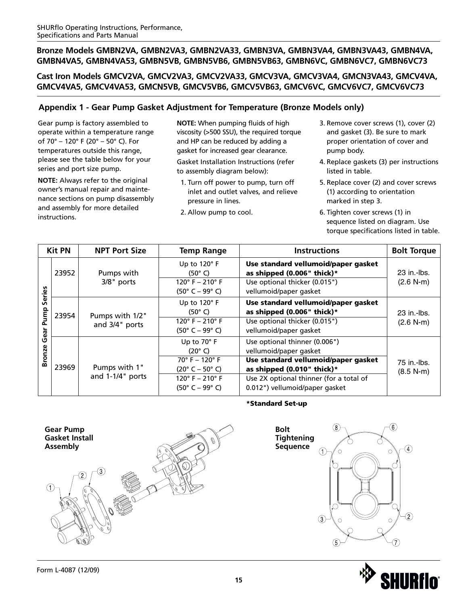**Cast Iron Models GMCV2VA, GMCV2VA3, GMCV2VA33, GMCV3VA, GMCV3VA4, GMCN3VA43, GMCV4VA, GMCV4VA5, GMCV4VA53, GMCN5VB, GMCV5VB6, GMCV5VB63, GMCV6VC, GMCV6VC7, GMCV6VC73**

# **Appendix 1 - Gear Pump Gasket Adjustment for Temperature (Bronze Models only)**

Gear pump is factory assembled to operate within a temperature range of 70° – 120° F (20° – 50° C). For temperatures outside this range, please see the table below for your series and port size pump.

**NOTE:** Always refer to the original owner's manual repair and maintenance sections on pump disassembly and assembly for more detailed instructions.

**NOTE:** When pumping fluids of high viscosity (>500 SSU), the required torque and HP can be reduced by adding a gasket for increased gear clearance.

Gasket Installation Instructions (refer to assembly diagram below):

- 1. Turn off power to pump, turn off inlet and outlet valves, and relieve pressure in lines.
- 2. Allow pump to cool.
- 3. Remove cover screws (1), cover (2) and gasket (3). Be sure to mark proper orientation of cover and pump body.
- 4. Replace gaskets (3) per instructions listed in table.
- 5. Replace cover (2) and cover screws (1) according to orientation marked in step 3.
- 6. Tighten cover screws (1) in sequence listed on diagram. Use torque specifications listed in table.

|                        | <b>Kit PN</b> | <b>NPT Port Size</b>              | <b>Temp Range</b>                                                                                                                                      | <b>Instructions</b>                                                                                                                                                                                       | <b>Bolt Torque</b>           |
|------------------------|---------------|-----------------------------------|--------------------------------------------------------------------------------------------------------------------------------------------------------|-----------------------------------------------------------------------------------------------------------------------------------------------------------------------------------------------------------|------------------------------|
|                        | 23952         | Pumps with<br>3/8" ports          | Up to $120^\circ$ F<br>$(50^{\circ} C)$<br>$120^{\circ}$ F – 210 $^{\circ}$ F<br>$(50^{\circ}$ C – 99° C)                                              | Use standard vellumoid/paper gasket<br>as shipped (0.006" thick)*<br>Use optional thicker (0.015")<br>vellumoid/paper gasket                                                                              | 23 in - lbs.<br>$(2.6 N-m)$  |
| Series<br>Pump<br>Gear | 23954         | Pumps with 1/2"<br>and 3/4" ports | Up to 120°F<br>$(50^{\circ} \text{ C})$<br>$120^{\circ}$ F - 210° F<br>$(50^{\circ}$ C – 99 $^{\circ}$ C)                                              | Use standard vellumoid/paper gasket<br>as shipped (0.006" thick)*<br>Use optional thicker (0.015")<br>vellumoid/paper gasket                                                                              | 23 in -- lbs.<br>$(2.6 N-m)$ |
| <b>Bronze</b>          | 23969         | Pumps with 1"<br>and 1-1/4" ports | Up to 70° F<br>$(20^{\circ} \text{ C})$<br>$70^{\circ}$ F – 120° F<br>$(20^{\circ}$ C – 50° C)<br>$120^{\circ}$ F - 210° F<br>$(50^{\circ}$ C – 99° C) | Use optional thinner (0.006")<br>vellumoid/paper gasket<br>Use standard vellumoid/paper gasket<br>as shipped (0.010" thick)*<br>Use 2X optional thinner (for a total of<br>0.012") vellumoid/paper gasket | 75 in -lbs.<br>$(8.5 N-m)$   |

### **\*Standard Set-up**